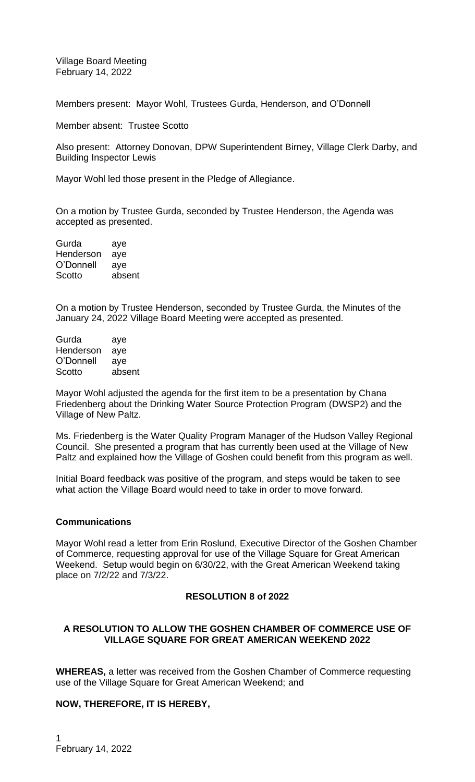Village Board Meeting February 14, 2022

Members present: Mayor Wohl, Trustees Gurda, Henderson, and O'Donnell

Member absent: Trustee Scotto

Also present: Attorney Donovan, DPW Superintendent Birney, Village Clerk Darby, and Building Inspector Lewis

Mayor Wohl led those present in the Pledge of Allegiance.

On a motion by Trustee Gurda, seconded by Trustee Henderson, the Agenda was accepted as presented.

| Gurda     | aye    |
|-----------|--------|
| Henderson | aye    |
| O'Donnell | aye    |
| Scotto    | absent |

On a motion by Trustee Henderson, seconded by Trustee Gurda, the Minutes of the January 24, 2022 Village Board Meeting were accepted as presented.

Gurda aye Henderson aye O'Donnell aye Scotto absent

Mayor Wohl adjusted the agenda for the first item to be a presentation by Chana Friedenberg about the Drinking Water Source Protection Program (DWSP2) and the Village of New Paltz.

Ms. Friedenberg is the Water Quality Program Manager of the Hudson Valley Regional Council. She presented a program that has currently been used at the Village of New Paltz and explained how the Village of Goshen could benefit from this program as well.

Initial Board feedback was positive of the program, and steps would be taken to see what action the Village Board would need to take in order to move forward.

### **Communications**

Mayor Wohl read a letter from Erin Roslund, Executive Director of the Goshen Chamber of Commerce, requesting approval for use of the Village Square for Great American Weekend. Setup would begin on 6/30/22, with the Great American Weekend taking place on 7/2/22 and 7/3/22.

# **RESOLUTION 8 of 2022**

# **A RESOLUTION TO ALLOW THE GOSHEN CHAMBER OF COMMERCE USE OF VILLAGE SQUARE FOR GREAT AMERICAN WEEKEND 2022**

**WHEREAS,** a letter was received from the Goshen Chamber of Commerce requesting use of the Village Square for Great American Weekend; and

# **NOW, THEREFORE, IT IS HEREBY,**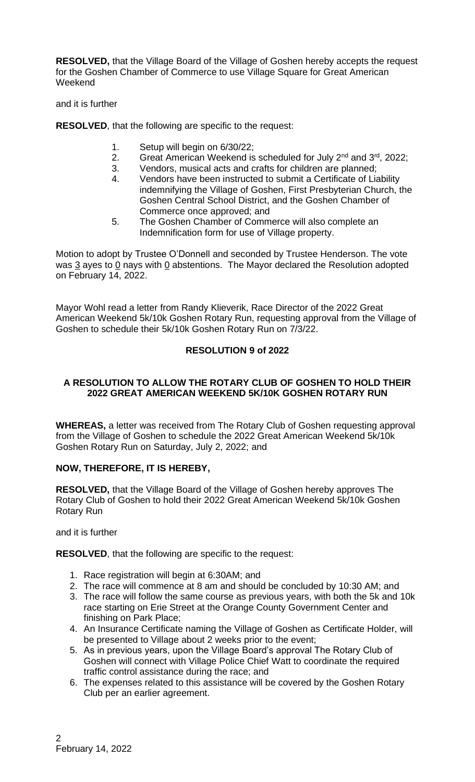**RESOLVED,** that the Village Board of the Village of Goshen hereby accepts the request for the Goshen Chamber of Commerce to use Village Square for Great American **Weekend** 

and it is further

**RESOLVED**, that the following are specific to the request:

- 1. Setup will begin on 6/30/22;
- 2. Great American Weekend is scheduled for July 2<sup>nd</sup> and 3<sup>rd</sup>, 2022;
- 3. Vendors, musical acts and crafts for children are planned;
- 4. Vendors have been instructed to submit a Certificate of Liability indemnifying the Village of Goshen, First Presbyterian Church, the Goshen Central School District, and the Goshen Chamber of Commerce once approved; and
- 5. The Goshen Chamber of Commerce will also complete an Indemnification form for use of Village property.

Motion to adopt by Trustee O'Donnell and seconded by Trustee Henderson. The vote was  $3$  ayes to 0 nays with 0 abstentions. The Mayor declared the Resolution adopted on February 14, 2022.

Mayor Wohl read a letter from Randy Klieverik, Race Director of the 2022 Great American Weekend 5k/10k Goshen Rotary Run, requesting approval from the Village of Goshen to schedule their 5k/10k Goshen Rotary Run on 7/3/22.

# **RESOLUTION 9 of 2022**

## **A RESOLUTION TO ALLOW THE ROTARY CLUB OF GOSHEN TO HOLD THEIR 2022 GREAT AMERICAN WEEKEND 5K/10K GOSHEN ROTARY RUN**

**WHEREAS,** a letter was received from The Rotary Club of Goshen requesting approval from the Village of Goshen to schedule the 2022 Great American Weekend 5k/10k Goshen Rotary Run on Saturday, July 2, 2022; and

# **NOW, THEREFORE, IT IS HEREBY,**

**RESOLVED,** that the Village Board of the Village of Goshen hereby approves The Rotary Club of Goshen to hold their 2022 Great American Weekend 5k/10k Goshen Rotary Run

and it is further

**RESOLVED**, that the following are specific to the request:

- 1. Race registration will begin at 6:30AM; and
- 2. The race will commence at 8 am and should be concluded by 10:30 AM; and
- 3. The race will follow the same course as previous years, with both the 5k and 10k race starting on Erie Street at the Orange County Government Center and finishing on Park Place;
- 4. An Insurance Certificate naming the Village of Goshen as Certificate Holder, will be presented to Village about 2 weeks prior to the event;
- 5. As in previous years, upon the Village Board's approval The Rotary Club of Goshen will connect with Village Police Chief Watt to coordinate the required traffic control assistance during the race; and
- 6. The expenses related to this assistance will be covered by the Goshen Rotary Club per an earlier agreement.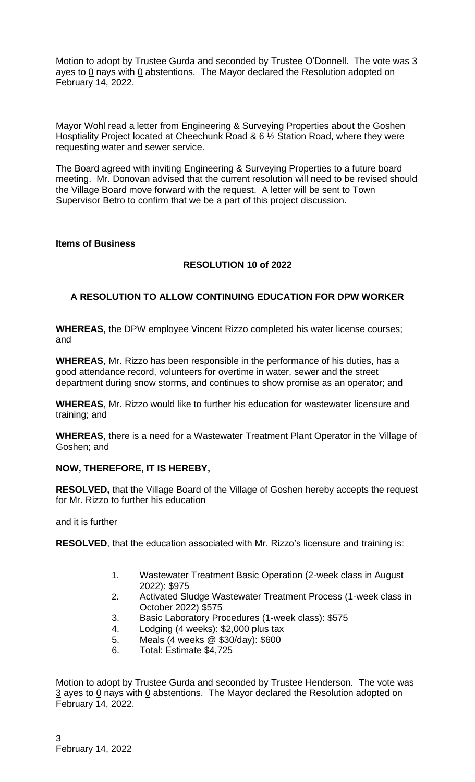Motion to adopt by Trustee Gurda and seconded by Trustee O'Donnell. The vote was 3 ayes to  $0$  nays with  $0$  abstentions. The Mayor declared the Resolution adopted on February 14, 2022.

Mayor Wohl read a letter from Engineering & Surveying Properties about the Goshen Hosptiality Project located at Cheechunk Road & 6 ½ Station Road, where they were requesting water and sewer service.

The Board agreed with inviting Engineering & Surveying Properties to a future board meeting. Mr. Donovan advised that the current resolution will need to be revised should the Village Board move forward with the request. A letter will be sent to Town Supervisor Betro to confirm that we be a part of this project discussion.

### **Items of Business**

# **RESOLUTION 10 of 2022**

# **A RESOLUTION TO ALLOW CONTINUING EDUCATION FOR DPW WORKER**

**WHEREAS,** the DPW employee Vincent Rizzo completed his water license courses; and

**WHEREAS**, Mr. Rizzo has been responsible in the performance of his duties, has a good attendance record, volunteers for overtime in water, sewer and the street department during snow storms, and continues to show promise as an operator; and

**WHEREAS**, Mr. Rizzo would like to further his education for wastewater licensure and training; and

**WHEREAS**, there is a need for a Wastewater Treatment Plant Operator in the Village of Goshen; and

### **NOW, THEREFORE, IT IS HEREBY,**

**RESOLVED,** that the Village Board of the Village of Goshen hereby accepts the request for Mr. Rizzo to further his education

and it is further

**RESOLVED**, that the education associated with Mr. Rizzo's licensure and training is:

- 1. Wastewater Treatment Basic Operation (2-week class in August 2022): \$975
- 2. Activated Sludge Wastewater Treatment Process (1-week class in October 2022) \$575
- 3. Basic Laboratory Procedures (1-week class): \$575
- 4. Lodging (4 weeks): \$2,000 plus tax
- 5. Meals (4 weeks @ \$30/day): \$600
- 6. Total: Estimate \$4,725

Motion to adopt by Trustee Gurda and seconded by Trustee Henderson. The vote was  $\frac{3}{2}$  ayes to 0 nays with 0 abstentions. The Mayor declared the Resolution adopted on February 14, 2022.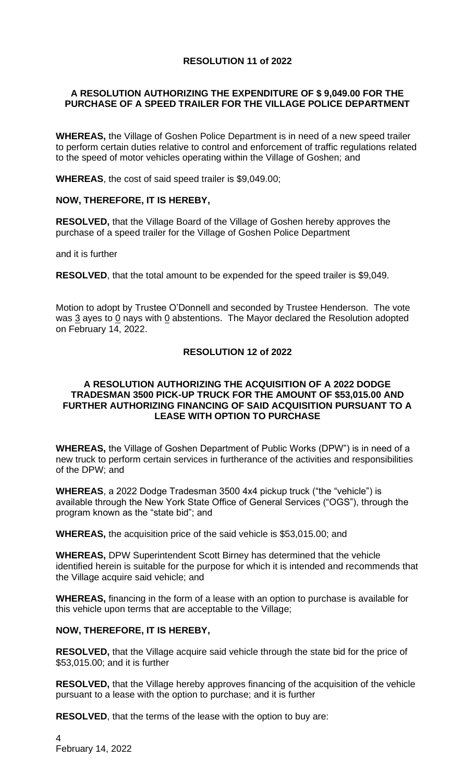# **RESOLUTION 11 of 2022**

# **A RESOLUTION AUTHORIZING THE EXPENDITURE OF \$ 9,049.00 FOR THE PURCHASE OF A SPEED TRAILER FOR THE VILLAGE POLICE DEPARTMENT**

**WHEREAS,** the Village of Goshen Police Department is in need of a new speed trailer to perform certain duties relative to control and enforcement of traffic regulations related to the speed of motor vehicles operating within the Village of Goshen; and

**WHEREAS**, the cost of said speed trailer is \$9,049.00;

# **NOW, THEREFORE, IT IS HEREBY,**

**RESOLVED,** that the Village Board of the Village of Goshen hereby approves the purchase of a speed trailer for the Village of Goshen Police Department

and it is further

**RESOLVED**, that the total amount to be expended for the speed trailer is \$9,049.

Motion to adopt by Trustee O'Donnell and seconded by Trustee Henderson. The vote was 3 ayes to 0 nays with 0 abstentions. The Mayor declared the Resolution adopted on February 14, 2022.

# **RESOLUTION 12 of 2022**

### **A RESOLUTION AUTHORIZING THE ACQUISITION OF A 2022 DODGE TRADESMAN 3500 PICK-UP TRUCK FOR THE AMOUNT OF \$53,015.00 AND FURTHER AUTHORIZING FINANCING OF SAID ACQUISITION PURSUANT TO A LEASE WITH OPTION TO PURCHASE**

**WHEREAS,** the Village of Goshen Department of Public Works (DPW") is in need of a new truck to perform certain services in furtherance of the activities and responsibilities of the DPW; and

**WHEREAS**, a 2022 Dodge Tradesman 3500 4x4 pickup truck ("the "vehicle") is available through the New York State Office of General Services ("OGS"), through the program known as the "state bid"; and

**WHEREAS,** the acquisition price of the said vehicle is \$53,015.00; and

**WHEREAS,** DPW Superintendent Scott Birney has determined that the vehicle identified herein is suitable for the purpose for which it is intended and recommends that the Village acquire said vehicle; and

**WHEREAS,** financing in the form of a lease with an option to purchase is available for this vehicle upon terms that are acceptable to the Village;

# **NOW, THEREFORE, IT IS HEREBY,**

**RESOLVED,** that the Village acquire said vehicle through the state bid for the price of \$53,015.00; and it is further

**RESOLVED,** that the Village hereby approves financing of the acquisition of the vehicle pursuant to a lease with the option to purchase; and it is further

**RESOLVED**, that the terms of the lease with the option to buy are: